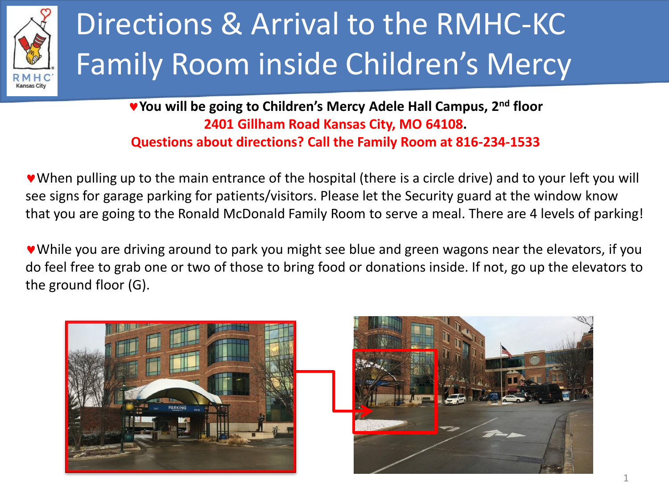

## Directions & Arrival to the RMHC-KC Family Room inside Children's Mercy

**You will be going to Children's Mercy Adele Hall Campus, 2nd floor 2401 Gillham Road Kansas City, MO 64108. Questions about directions? Call the Family Room at 816-234-1533**

When pulling up to the main entrance of the hospital (there is a circle drive) and to your left you will see signs for garage parking for patients/visitors. Please let the Security guard at the window know that you are going to the Ronald McDonald Family Room to serve a meal. There are 4 levels of parking!

While you are driving around to park you might see blue and green wagons near the elevators, if you do feel free to grab one or two of those to bring food or donations inside. If not, go up the elevators to the ground floor (G).

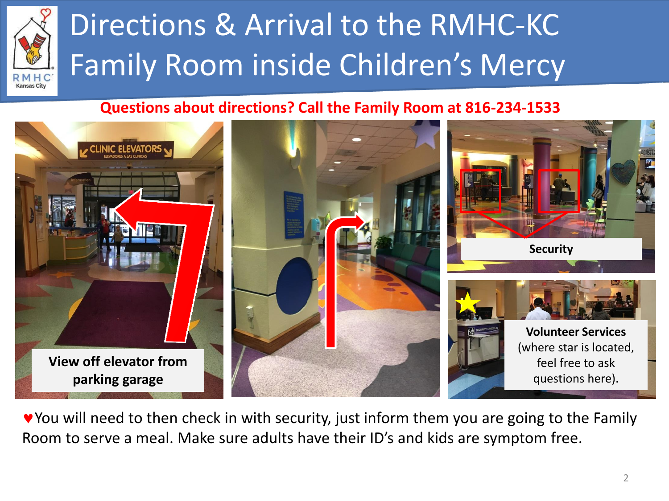

## Directions & Arrival to the RMHC-KC Family Room inside Children's Mercy

#### **Questions about directions? Call the Family Room at 816-234-1533**



You will need to then check in with security, just inform them you are going to the Family Room to serve a meal. Make sure adults have their ID's and kids are symptom free.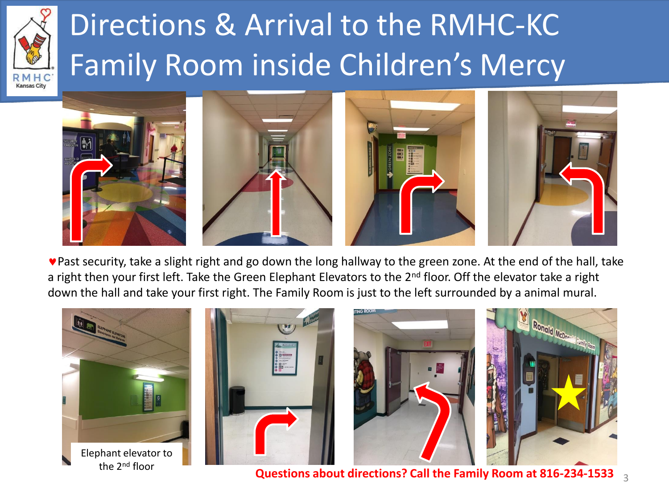

## Directions & Arrival to the RMHC-KC Family Room inside Children's Mercy



Past security, take a slight right and go down the long hallway to the green zone. At the end of the hall, take a right then your first left. Take the Green Elephant Elevators to the 2<sup>nd</sup> floor. Off the elevator take a right down the hall and take your first right. The Family Room is just to the left surrounded by a animal mural.



**Questions about directions? Call the Family Room at 816-234-1533**  $_{-3}$